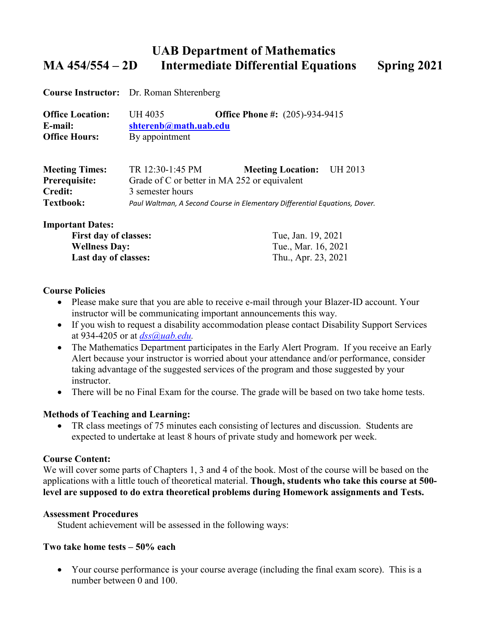# **UAB Department of Mathematics MA 454/554 – 2D Intermediate Differential Equations Spring 2021**

**Course Instructor:** Dr. Roman Shterenberg

| <b>Office Location:</b> | UH 4035               | <b>Office Phone #:</b> $(205)$ -934-9415 |  |
|-------------------------|-----------------------|------------------------------------------|--|
| E-mail:                 | shterenb@math.uab.edu |                                          |  |
| <b>Office Hours:</b>    | By appointment        |                                          |  |

| <b>Meeting Times:</b> | TR 12:30-1:45 PM                                                           | <b>Meeting Location:</b> | UH 2013 |
|-----------------------|----------------------------------------------------------------------------|--------------------------|---------|
| <b>Prerequisite:</b>  | Grade of C or better in MA 252 or equivalent                               |                          |         |
| <b>Credit:</b>        | 3 semester hours                                                           |                          |         |
| <b>Textbook:</b>      | Paul Waltman, A Second Course in Elementary Differential Equations, Dover. |                          |         |

#### **Important Dates:**

| <b>First day of classes:</b> | Tue, Jan. 19, 2021  |
|------------------------------|---------------------|
| <b>Wellness Day:</b>         | Tue., Mar. 16, 2021 |
| <b>Last day of classes:</b>  | Thu., Apr. 23, 2021 |

#### **Course Policies**

- Please make sure that you are able to receive e-mail through your Blazer-ID account. Your instructor will be communicating important announcements this way.
- If you wish to request a disability accommodation please contact Disability Support Services at 934-4205 or at *[dss@uab.edu.](mailto:dss@uab.edu)*
- The Mathematics Department participates in the Early Alert Program. If you receive an Early Alert because your instructor is worried about your attendance and/or performance, consider taking advantage of the suggested services of the program and those suggested by your instructor.
- There will be no Final Exam for the course. The grade will be based on two take home tests.

## **Methods of Teaching and Learning:**

• TR class meetings of 75 minutes each consisting of lectures and discussion. Students are expected to undertake at least 8 hours of private study and homework per week.

#### **Course Content:**

We will cover some parts of Chapters 1, 3 and 4 of the book. Most of the course will be based on the applications with a little touch of theoretical material. **Though, students who take this course at 500 level are supposed to do extra theoretical problems during Homework assignments and Tests.**

#### **Assessment Procedures**

Student achievement will be assessed in the following ways:

## **Two take home tests – 50% each**

• Your course performance is your course average (including the final exam score). This is a number between 0 and 100.